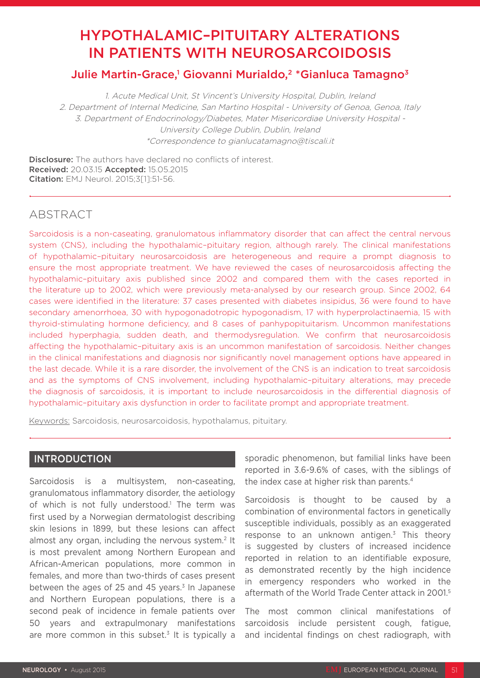# HYPOTHALAMIC–PITUITARY ALTERATIONS IN PATIENTS WITH NEUROSARCOIDOSIS

# Julie Martin-Grace,<sup>1</sup> Giovanni Murialdo,<sup>2</sup> \*Gianluca Tamagno<sup>3</sup>

1. Acute Medical Unit, St Vincent's University Hospital, Dublin, Ireland 2. Department of Internal Medicine, San Martino Hospital - University of Genoa, Genoa, Italy 3. Department of Endocrinology/Diabetes, Mater Misericordiae University Hospital - University College Dublin, Dublin, Ireland \*Correspondence to gianlucatamagno@tiscali.it

**Disclosure:** The authors have declared no conflicts of interest. Received: 20.03.15 Accepted: 15.05.2015 Citation: EMJ Neurol. 2015;3[1]:51-56.

# ABSTRACT

Sarcoidosis is a non-caseating, granulomatous inflammatory disorder that can affect the central nervous system (CNS), including the hypothalamic–pituitary region, although rarely. The clinical manifestations of hypothalamic–pituitary neurosarcoidosis are heterogeneous and require a prompt diagnosis to ensure the most appropriate treatment. We have reviewed the cases of neurosarcoidosis affecting the hypothalamic–pituitary axis published since 2002 and compared them with the cases reported in the literature up to 2002, which were previously meta-analysed by our research group. Since 2002, 64 cases were identified in the literature: 37 cases presented with diabetes insipidus, 36 were found to have secondary amenorrhoea, 30 with hypogonadotropic hypogonadism, 17 with hyperprolactinaemia, 15 with thyroid-stimulating hormone deficiency, and 8 cases of panhypopituitarism. Uncommon manifestations included hyperphagia, sudden death, and thermodysregulation. We confirm that neurosarcoidosis affecting the hypothalamic–pituitary axis is an uncommon manifestation of sarcoidosis. Neither changes in the clinical manifestations and diagnosis nor significantly novel management options have appeared in the last decade. While it is a rare disorder, the involvement of the CNS is an indication to treat sarcoidosis and as the symptoms of CNS involvement, including hypothalamic–pituitary alterations, may precede the diagnosis of sarcoidosis, it is important to include neurosarcoidosis in the differential diagnosis of hypothalamic–pituitary axis dysfunction in order to facilitate prompt and appropriate treatment.

Keywords: Sarcoidosis, neurosarcoidosis, hypothalamus, pituitary.

# **INTRODUCTION**

Sarcoidosis is a multisystem, non-caseating, granulomatous inflammatory disorder, the aetiology of which is not fully understood.<sup>1</sup> The term was first used by a Norwegian dermatologist describing skin lesions in 1899, but these lesions can affect almost any organ, including the nervous system.<sup>2</sup> It is most prevalent among Northern European and African-American populations, more common in females, and more than two-thirds of cases present between the ages of 25 and 45 years.<sup>3</sup> In Japanese and Northern European populations, there is a second peak of incidence in female patients over 50 years and extrapulmonary manifestations are more common in this subset.<sup>3</sup> It is typically a

sporadic phenomenon, but familial links have been reported in 3.6-9.6% of cases, with the siblings of the index case at higher risk than parents.<sup>4</sup>

Sarcoidosis is thought to be caused by a combination of environmental factors in genetically susceptible individuals, possibly as an exaggerated response to an unknown antigen.<sup>3</sup> This theory is suggested by clusters of increased incidence reported in relation to an identifiable exposure, as demonstrated recently by the high incidence in emergency responders who worked in the aftermath of the World Trade Center attack in 2001.5

The most common clinical manifestations of sarcoidosis include persistent cough, fatique. and incidental findings on chest radiograph, with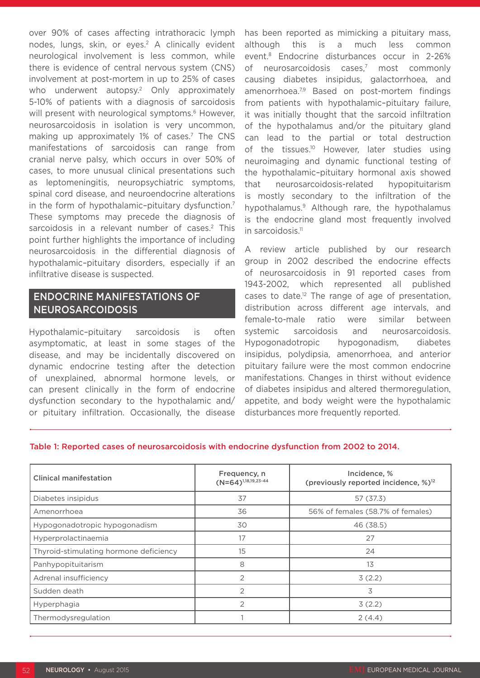over 90% of cases affecting intrathoracic lymph nodes, lungs, skin, or eyes.<sup>2</sup> A clinically evident neurological involvement is less common, while there is evidence of central nervous system (CNS) involvement at post-mortem in up to 25% of cases who underwent autopsy.<sup>2</sup> Only approximately 5-10% of patients with a diagnosis of sarcoidosis will present with neurological symptoms.<sup>6</sup> However, neurosarcoidosis in isolation is very uncommon, making up approximately 1% of cases.<sup>7</sup> The CNS manifestations of sarcoidosis can range from cranial nerve palsy, which occurs in over 50% of cases, to more unusual clinical presentations such as leptomeningitis, neuropsychiatric symptoms, spinal cord disease, and neuroendocrine alterations in the form of hypothalamic-pituitary dysfunction.<sup>7</sup> These symptoms may precede the diagnosis of sarcoidosis in a relevant number of cases.<sup>2</sup> This point further highlights the importance of including neurosarcoidosis in the differential diagnosis of hypothalamic–pituitary disorders, especially if an infiltrative disease is suspected.

# ENDOCRINE MANIFESTATIONS OF NEUROSARCOIDOSIS

Hypothalamic–pituitary sarcoidosis is often asymptomatic, at least in some stages of the disease, and may be incidentally discovered on dynamic endocrine testing after the detection of unexplained, abnormal hormone levels, or can present clinically in the form of endocrine dysfunction secondary to the hypothalamic and/ or pituitary infiltration. Occasionally, the disease

has been reported as mimicking a pituitary mass, although this is a much less common event.8 Endocrine disturbances occur in 2-26% of neurosarcoidosis cases.<sup>7</sup> most commonly causing diabetes insipidus, galactorrhoea, and amenorrhoea.<sup>7,9</sup> Based on post-mortem findings from patients with hypothalamic-pituitary failure. it was initially thought that the sarcoid infiltration of the hypothalamus and/or the pituitary gland can lead to the partial or total destruction of the tissues.<sup>10</sup> However, later studies using neuroimaging and dynamic functional testing of the hypothalamic–pituitary hormonal axis showed that neurosarcoidosis-related hypopituitarism is mostly secondary to the infiltration of the hypothalamus.9 Although rare, the hypothalamus is the endocrine gland most frequently involved in sarcoidosis.<sup>11</sup>

A review article published by our research group in 2002 described the endocrine effects of neurosarcoidosis in 91 reported cases from 1943-2002, which represented all published cases to date.12 The range of age of presentation, distribution across different age intervals, and female-to-male ratio were similar between systemic sarcoidosis and neurosarcoidosis. Hypogonadotropic hypogonadism, diabetes insipidus, polydipsia, amenorrhoea, and anterior pituitary failure were the most common endocrine manifestations. Changes in thirst without evidence of diabetes insipidus and altered thermoregulation, appetite, and body weight were the hypothalamic disturbances more frequently reported.

#### Table 1: Reported cases of neurosarcoidosis with endocrine dysfunction from 2002 to 2014.

| <b>Clinical manifestation</b>          | Frequency, n<br>$(N=64)^{1,18,19,23-44}$ | Incidence, %<br>(previously reported incidence, %) <sup>12</sup> |
|----------------------------------------|------------------------------------------|------------------------------------------------------------------|
| Diabetes insipidus                     | 37                                       | 57 (37.3)                                                        |
| Amenorrhoea                            | 36                                       | 56% of females (58.7% of females)                                |
| Hypogonadotropic hypogonadism          | 30                                       | 46 (38.5)                                                        |
| Hyperprolactinaemia                    | 17                                       | 27                                                               |
| Thyroid-stimulating hormone deficiency | 15                                       | 24                                                               |
| Panhypopituitarism                     | 8                                        | 13                                                               |
| Adrenal insufficiency                  | $\mathfrak{D}$                           | 3(2.2)                                                           |
| Sudden death                           | $\overline{2}$                           | 3                                                                |
| Hyperphagia                            | $\overline{2}$                           | 3(2.2)                                                           |
| Thermodysregulation                    |                                          | 2(4.4)                                                           |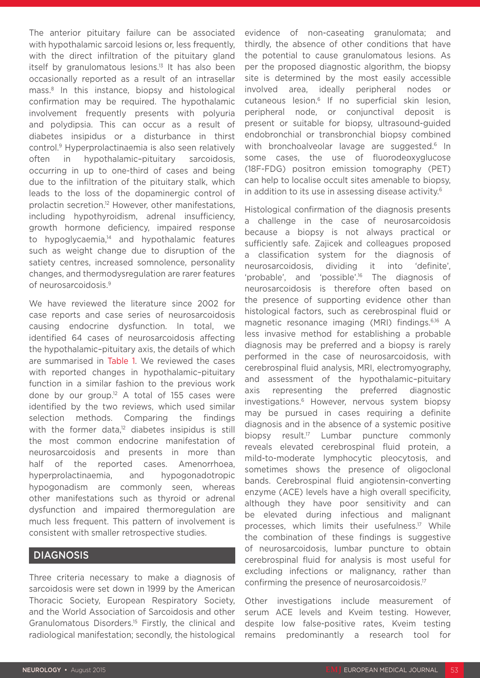The anterior pituitary failure can be associated with hypothalamic sarcoid lesions or, less frequently, with the direct infiltration of the pituitary gland itself by granulomatous lesions.13 It has also been occasionally reported as a result of an intrasellar mass.8 In this instance, biopsy and histological confirmation may be required. The hypothalamic involvement frequently presents with polyuria and polydipsia. This can occur as a result of diabetes insipidus or a disturbance in thirst control.9 Hyperprolactinaemia is also seen relatively often in hypothalamic–pituitary sarcoidosis, occurring in up to one-third of cases and being due to the infiltration of the pituitary stalk, which leads to the loss of the dopaminergic control of prolactin secretion.12 However, other manifestations, including hypothyroidism, adrenal insufficiency, growth hormone deficiency, impaired response to hypoglycaemia,<sup>14</sup> and hypothalamic features such as weight change due to disruption of the satiety centres, increased somnolence, personality changes, and thermodysregulation are rarer features of neurosarcoidosis.9

We have reviewed the literature since 2002 for case reports and case series of neurosarcoidosis causing endocrine dysfunction. In total, we identified 64 cases of neurosarcoidosis affecting the hypothalamic–pituitary axis, the details of which are summarised in Table 1. We reviewed the cases with reported changes in hypothalamic–pituitary function in a similar fashion to the previous work done by our group.12 A total of 155 cases were identified by the two reviews, which used similar selection methods. Comparing the findings with the former data,<sup>12</sup> diabetes insipidus is still the most common endocrine manifestation of neurosarcoidosis and presents in more than half of the reported cases. Amenorrhoea, hyperprolactinaemia, and hypogonadotropic hypogonadism are commonly seen, whereas other manifestations such as thyroid or adrenal dysfunction and impaired thermoregulation are much less frequent. This pattern of involvement is consistent with smaller retrospective studies.

### DIAGNOSIS

Three criteria necessary to make a diagnosis of sarcoidosis were set down in 1999 by the American Thoracic Society, European Respiratory Society, and the World Association of Sarcoidosis and other Granulomatous Disorders.15 Firstly, the clinical and radiological manifestation; secondly, the histological evidence of non-caseating granulomata; and thirdly, the absence of other conditions that have the potential to cause granulomatous lesions. As per the proposed diagnostic algorithm, the biopsy site is determined by the most easily accessible involved area, ideally peripheral nodes or cutaneous lesion.6 If no superficial skin lesion, peripheral node, or conjunctival deposit is present or suitable for biopsy, ultrasound-guided endobronchial or transbronchial biopsy combined with bronchoalveolar lavage are suggested.<sup>6</sup> In some cases, the use of fluorodeoxyglucose (18F-FDG) positron emission tomography (PET) can help to localise occult sites amenable to biopsy, in addition to its use in assessing disease activity.<sup>6</sup>

Histological confirmation of the diagnosis presents a challenge in the case of neurosarcoidosis because a biopsy is not always practical or sufficiently safe. Zajicek and colleagues proposed a classification system for the diagnosis of neurosarcoidosis, dividing it into 'definite', 'probable', and 'possible'.16 The diagnosis of neurosarcoidosis is therefore often based on the presence of supporting evidence other than histological factors, such as cerebrospinal fluid or magnetic resonance imaging (MRI) findings.<sup>6,16</sup> A less invasive method for establishing a probable diagnosis may be preferred and a biopsy is rarely performed in the case of neurosarcoidosis, with cerebrospinal fluid analysis, MRI, electromyography, and assessment of the hypothalamic–pituitary axis representing the preferred diagnostic investigations.6 However, nervous system biopsy may be pursued in cases requiring a definite diagnosis and in the absence of a systemic positive biopsy result.<sup>17</sup> Lumbar puncture commonly reveals elevated cerebrospinal fluid protein, a mild-to-moderate lymphocytic pleocytosis, and sometimes shows the presence of oligoclonal bands. Cerebrospinal fluid angiotensin-converting enzyme (ACE) levels have a high overall specificity, although they have poor sensitivity and can be elevated during infectious and malignant processes, which limits their usefulness.17 While the combination of these findings is suggestive of neurosarcoidosis, lumbar puncture to obtain cerebrospinal fluid for analysis is most useful for excluding infections or malignancy, rather than confirming the presence of neurosarcoidosis.17

Other investigations include measurement of serum ACE levels and Kveim testing. However, despite low false-positive rates, Kveim testing remains predominantly a research tool for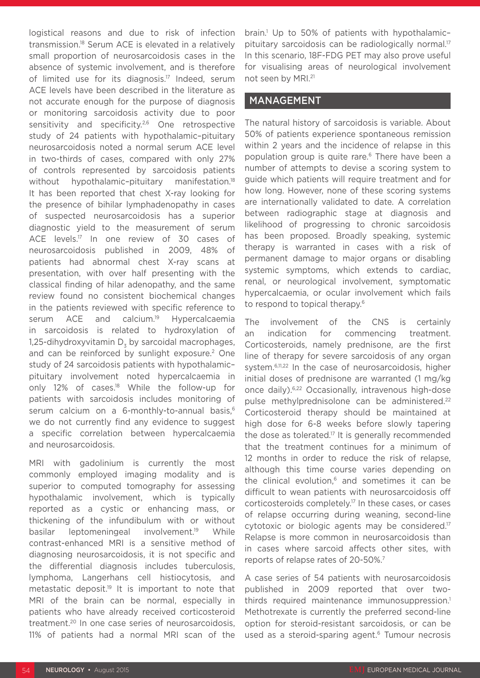logistical reasons and due to risk of infection transmission.18 Serum ACE is elevated in a relatively small proportion of neurosarcoidosis cases in the absence of systemic involvement, and is therefore of limited use for its diagnosis.<sup>17</sup> Indeed, serum ACE levels have been described in the literature as not accurate enough for the purpose of diagnosis or monitoring sarcoidosis activity due to poor sensitivity and specificity.<sup>2,6</sup> One retrospective study of 24 patients with hypothalamic–pituitary neurosarcoidosis noted a normal serum ACE level in two-thirds of cases, compared with only 27% of controls represented by sarcoidosis patients without hypothalamic-pituitary manifestation.<sup>18</sup> It has been reported that chest X-ray looking for the presence of bihilar lymphadenopathy in cases of suspected neurosarcoidosis has a superior diagnostic yield to the measurement of serum ACE levels.<sup>17</sup> In one review of 30 cases of neurosarcoidosis published in 2009, 48% of patients had abnormal chest X-ray scans at presentation, with over half presenting with the classical finding of hilar adenopathy, and the same review found no consistent biochemical changes in the patients reviewed with specific reference to serum ACE and calcium.<sup>19</sup> Hypercalcaemia in sarcoidosis is related to hydroxylation of 1,25-dihydroxyvitamin D<sub>z</sub> by sarcoidal macrophages, and can be reinforced by sunlight exposure.<sup>2</sup> One study of 24 sarcoidosis patients with hypothalamic– pituitary involvement noted hypercalcaemia in only 12% of cases.<sup>18</sup> While the follow-up for patients with sarcoidosis includes monitoring of serum calcium on a 6-monthly-to-annual basis,<sup>6</sup> we do not currently find any evidence to suggest a specific correlation between hypercalcaemia and neurosarcoidosis.

MRI with gadolinium is currently the most commonly employed imaging modality and is superior to computed tomography for assessing hypothalamic involvement, which is typically reported as a cystic or enhancing mass, or thickening of the infundibulum with or without basilar leptomeningeal involvement.<sup>19</sup> While contrast-enhanced MRI is a sensitive method of diagnosing neurosarcoidosis, it is not specific and the differential diagnosis includes tuberculosis, lymphoma, Langerhans cell histiocytosis, and metastatic deposit.19 It is important to note that MRI of the brain can be normal, especially in patients who have already received corticosteroid treatment.20 In one case series of neurosarcoidosis, 11% of patients had a normal MRI scan of the

brain.1 Up to 50% of patients with hypothalamic– pituitary sarcoidosis can be radiologically normal.<sup>17</sup> In this scenario, 18F-FDG PET may also prove useful for visualising areas of neurological involvement not seen by MRI.21

# MANAGEMENT

The natural history of sarcoidosis is variable. About 50% of patients experience spontaneous remission within 2 years and the incidence of relapse in this population group is quite rare.<sup>6</sup> There have been a number of attempts to devise a scoring system to guide which patients will require treatment and for how long. However, none of these scoring systems are internationally validated to date. A correlation between radiographic stage at diagnosis and likelihood of progressing to chronic sarcoidosis has been proposed. Broadly speaking, systemic therapy is warranted in cases with a risk of permanent damage to major organs or disabling systemic symptoms, which extends to cardiac, renal, or neurological involvement, symptomatic hypercalcaemia, or ocular involvement which fails to respond to topical therapy.<sup>6</sup>

The involvement of the CNS is certainly an indication for commencing treatment. Corticosteroids, namely prednisone, are the first line of therapy for severe sarcoidosis of any organ system.<sup>6,11,22</sup> In the case of neurosarcoidosis, higher initial doses of prednisone are warranted (1 mg/kg once daily).6,22 Occasionally, intravenous high-dose pulse methylprednisolone can be administered.<sup>22</sup> Corticosteroid therapy should be maintained at high dose for 6-8 weeks before slowly tapering the dose as tolerated.17 It is generally recommended that the treatment continues for a minimum of 12 months in order to reduce the risk of relapse, although this time course varies depending on the clinical evolution,<sup>6</sup> and sometimes it can be difficult to wean patients with neurosarcoidosis off corticosteroids completely.17 In these cases, or cases of relapse occurring during weaning, second-line cytotoxic or biologic agents may be considered.17 Relapse is more common in neurosarcoidosis than in cases where sarcoid affects other sites, with reports of relapse rates of 20-50%.<sup>7</sup>

A case series of 54 patients with neurosarcoidosis published in 2009 reported that over twothirds required maintenance immunosuppression.<sup>1</sup> Methotrexate is currently the preferred second-line option for steroid-resistant sarcoidosis, or can be used as a steroid-sparing agent.<sup>6</sup> Tumour necrosis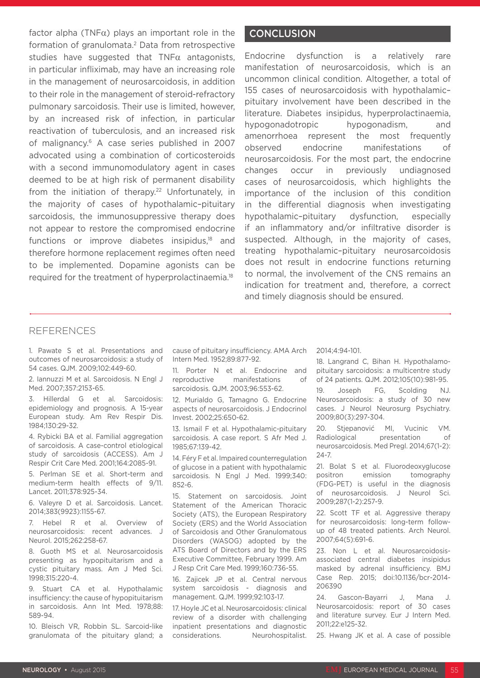factor alpha (TNF $\alpha$ ) plays an important role in the formation of granulomata.<sup>2</sup> Data from retrospective studies have suggested that  $TNF\alpha$  antagonists, in particular infliximab, may have an increasing role in the management of neurosarcoidosis, in addition to their role in the management of steroid-refractory pulmonary sarcoidosis. Their use is limited, however, by an increased risk of infection, in particular reactivation of tuberculosis, and an increased risk of malignancy.6 A case series published in 2007 advocated using a combination of corticosteroids with a second immunomodulatory agent in cases deemed to be at high risk of permanent disability from the initiation of therapy.<sup>22</sup> Unfortunately, in the majority of cases of hypothalamic–pituitary sarcoidosis, the immunosuppressive therapy does not appear to restore the compromised endocrine functions or improve diabetes insipidus, $18$  and therefore hormone replacement regimes often need to be implemented. Dopamine agonists can be required for the treatment of hyperprolactinaemia.18

# **CONCLUSION**

Endocrine dysfunction is a relatively rare manifestation of neurosarcoidosis, which is an uncommon clinical condition. Altogether, a total of 155 cases of neurosarcoidosis with hypothalamic– pituitary involvement have been described in the literature. Diabetes insipidus, hyperprolactinaemia, hypogonadotropic hypogonadism, and amenorrhoea represent the most frequently observed endocrine manifestations of neurosarcoidosis. For the most part, the endocrine changes occur in previously undiagnosed cases of neurosarcoidosis, which highlights the importance of the inclusion of this condition in the differential diagnosis when investigating hypothalamic–pituitary dysfunction, especially if an inflammatory and/or infiltrative disorder is suspected. Although, in the majority of cases, treating hypothalamic–pituitary neurosarcoidosis does not result in endocrine functions returning to normal, the involvement of the CNS remains an indication for treatment and, therefore, a correct and timely diagnosis should be ensured.

### REFERENCES

1. Pawate S et al. Presentations and outcomes of neurosarcoidosis: a study of 54 cases. QJM. 2009;102:449-60.

2. Iannuzzi M et al. Sarcoidosis. N Engl J Med. 2007;357:2153-65.

3. Hillerdal G et al. Sarcoidosis: epidemiology and prognosis. A 15-year European study. Am Rev Respir Dis. 1984;130:29-32.

4. Rybicki BA et al. Familial aggregation of sarcoidosis. A case-control etiological study of sarcoidosis (ACCESS). Am J Respir Crit Care Med. 2001;164:2085-91.

5. Perlman SE et al. Short-term and medium-term health effects of 9/11. Lancet. 2011;378:925-34.

6. Valeyre D et al. Sarcoidosis. Lancet. 2014;383(9923):1155-67.

7. Hebel R et al. Overview of neurosarcoidosis: recent advances. J Neurol. 2015;262:258-67.

8. Guoth MS et al. Neurosarcoidosis presenting as hypopituitarism and a cystic pituitary mass. Am J Med Sci. 1998;315:220-4.

9. Stuart CA et al. Hypothalamic insufficiency: the cause of hypopituitarism in sarcoidosis. Ann Int Med. 1978;88: 589-94.

10. Bleisch VR, Robbin SL. Sarcoid-like granulomata of the pituitary gland; a

cause of pituitary insufficiency. AMA Arch Intern Med. 1952;89:877-92.

11. Porter N et al. Endocrine and reproductive manifestations of sarcoidosis. QJM. 2003;96:553-62.

12. Murialdo G, Tamagno G. Endocrine aspects of neurosarcoidosis. J Endocrinol Invest. 2002;25:650-62.

13. Ismail F et al. Hypothalamic-pituitary sarcoidosis. A case report. S Afr Med J. 1985;67:139-42.

14. Féry F et al. Impaired counterregulation of glucose in a patient with hypothalamic sarcoidosis. N Engl J Med. 1999;340: 852-6.

15. Statement on sarcoidosis. Joint Statement of the American Thoracic Society (ATS), the European Respiratory Society (ERS) and the World Association of Sarcoidosis and Other Granulomatous Disorders (WASOG) adopted by the ATS Board of Directors and by the ERS Executive Committee, February 1999. Am J Resp Crit Care Med. 1999;160:736-55.

16. Zajicek JP et al. Central nervous system sarcoidosis - diagnosis and management. QJM. 1999;92:103-17.

17. Hoyle JC et al. Neurosarcoidosis: clinical review of a disorder with challenging inpatient presentations and diagnostic considerations. Neurohospitalist. 2014;4:94-101.

18. Langrand C, Bihan H. Hypothalamopituitary sarcoidosis: a multicentre study of 24 patients. QJM. 2012;105(10):981-95.

19. Joseph FG, Scolding NJ. Neurosarcoidosis: a study of 30 new cases. J Neurol Neurosurg Psychiatry. 2009;80(3):297-304.

20. Stjepanović MI, Vucinic VM. Radiological presentation of neurosarcoidosis. Med Pregl. 2014;67(1-2): 24-7.

21. Bolat S et al. Fluorodeoxyglucose positron emission tomography (FDG-PET) is useful in the diagnosis of neurosarcoidosis. J Neurol Sci. 2009;287(1-2):257-9.

22. Scott TF et al. Aggressive therapy for neurosarcoidosis: long-term followup of 48 treated patients. Arch Neurol. 2007;64(5):691-6.

23. Non L et al. Neurosarcoidosisassociated central diabetes insipidus masked by adrenal insufficiency. BMJ Case Rep. 2015; doi:10.1136/bcr-2014- 206390

24. Gascon-Bayarri J, Mana J. Neurosarcoidosis: report of 30 cases and literature survey. Eur J Intern Med. 2011;22:e125-32.

25. Hwang JK et al. A case of possible